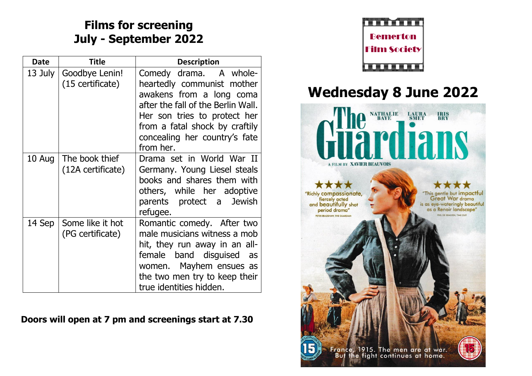### **Films for screening July - September 2022**

| <b>Date</b> | Title                                | <b>Description</b>                                                                                                                                                                                                                     |
|-------------|--------------------------------------|----------------------------------------------------------------------------------------------------------------------------------------------------------------------------------------------------------------------------------------|
| 13 July     | Goodbye Lenin!<br>(15 certificate)   | Comedy drama. A whole-<br>heartedly communist mother<br>awakens from a long coma<br>after the fall of the Berlin Wall.<br>Her son tries to protect her<br>from a fatal shock by craftily<br>concealing her country's fate<br>from her. |
| 10 Aug      | The book thief<br>(12A certificate)  | Drama set in World War II<br>Germany. Young Liesel steals<br>books and shares them with<br>others, while her adoptive<br>parents protect a<br><b>Jewish</b><br>refugee.                                                                |
| 14 Sep      | Some like it hot<br>(PG certificate) | Romantic comedy. After two<br>male musicians witness a mob<br>hit, they run away in an all-<br>female band disguised<br>as<br>women. Mayhem ensues as<br>the two men try to keep their<br>true identities hidden.                      |

#### **Doors will open at 7 pm and screenings start at 7.30**



## **Wednesday 8 June 2022**